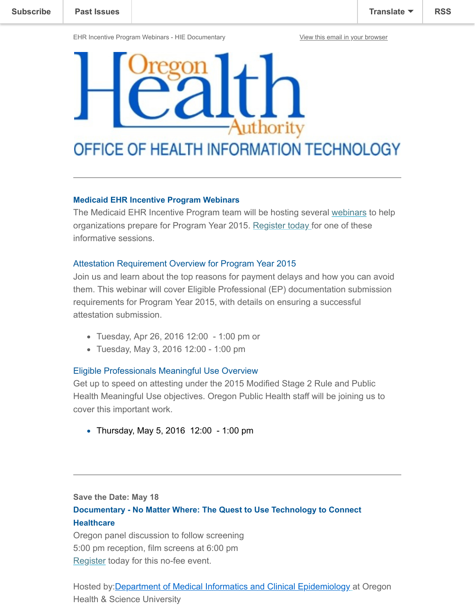EHR Incentive Program Webinars - HIE Documentary View The Wiew this email in your browser



## **Medicaid EHR Incentive Program Webinars**

The Medicaid EHR Incentive Program team will be hosting several [webinars](https://www.oregon.gov/oha/MHIT/Pages/Webinars.aspx) to help organizations prepare for Program Year 2015. [Register today f](https://www.oregon.gov/oha/MHIT/Pages/Webinars.aspx)or one of these informative sessions.

## Attestation Requirement Overview for Program Year 2015

Join us and learn about the top reasons for payment delays and how you can avoid them. This webinar will cover Eligible Professional (EP) documentation submission requirements for Program Year 2015, with details on ensuring a successful attestation submission.

- Tuesday, Apr 26, 2016 12:00 1:00 pm or
- Tuesday, May 3, 2016 12:00 1:00 pm

## Eligible Professionals Meaningful Use Overview

Get up to speed on attesting under the 2015 Modified Stage 2 Rule and Public Health Meaningful Use objectives. Oregon Public Health staff will be joining us to cover this important work.

• Thursday, May 5, 2016 12:00 - 1:00 pm

**Save the Date: May 18 Documentary - No Matter Where: The Quest to Use Technology to Connect Healthcare**

Oregon panel discussion to follow screening 5:00 pm reception, film screens at 6:00 pm [Register](https://www.ohsu.edu/xd/education/schools/school-of-medicine/departments/clinical-departments/dmice/no-matter-where.cfm) today for this no-fee event.

Hosted by[:Department of Medical Informatics and Clinical Epidemiology](https://www.ohsu.edu/xd/education/schools/school-of-medicine/departments/clinical-departments/dmice/no-matter-where.cfm) at Oregon Health & Science University